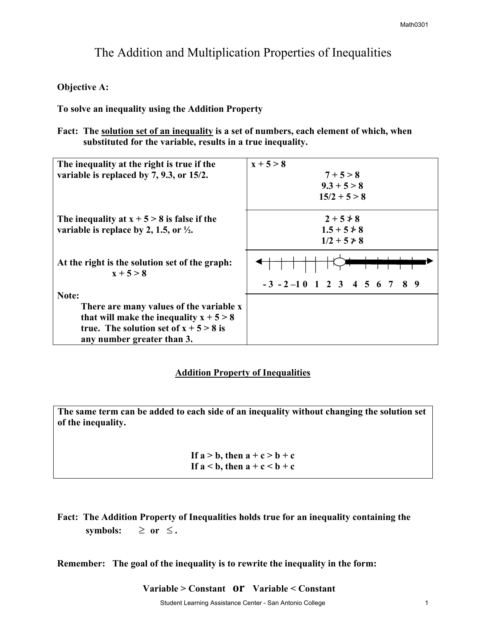# The Addition and Multiplication Properties of Inequalities

### **Objective A:**

**To solve an inequality using the Addition Property** 

Fact: The **solution set of an inequality** is a set of numbers, each element of which, when  **substituted for the variable, results in a true inequality.** 

| The inequality at the right is true if the                    | $x + 5 > 8$                        |
|---------------------------------------------------------------|------------------------------------|
| variable is replaced by 7, 9.3, or 15/2.                      | $7 + 5 > 8$                        |
|                                                               | $9.3 + 5 > 8$                      |
|                                                               | $15/2 + 5 > 8$                     |
| The inequality at $x + 5 > 8$ is false if the                 | $2 + 5 \not> 8$                    |
| variable is replace by 2, 1.5, or $\frac{1}{2}$ .             | $1.5 + 5 \not\ge 8$                |
|                                                               | $1/2 + 5 \ge 8$                    |
| At the right is the solution set of the graph:<br>$x + 5 > 8$ |                                    |
|                                                               | $-3$ $-2$ $-1$ 0 1 2 3 4 5 6 7 8 9 |
| Note:                                                         |                                    |
| There are many values of the variable x                       |                                    |
| that will make the inequality $x + 5 > 8$                     |                                    |
| true. The solution set of $x + 5 > 8$ is                      |                                    |
| any number greater than 3.                                    |                                    |

## **Addition Property of Inequalities**

**The same term can be added to each side of an inequality without changing the solution set of the inequality.** 

> If  $a > b$ , then  $a + c > b + c$ If  $a < b$ , then  $a + c < b + c$

**Fact: The Addition Property of Inequalities holds true for an inequality containing the**  symbols:  $≥$  or  $≤$ .

**Remember: The goal of the inequality is to rewrite the inequality in the form:** 

 **Variable > Constant or Variable < Constant**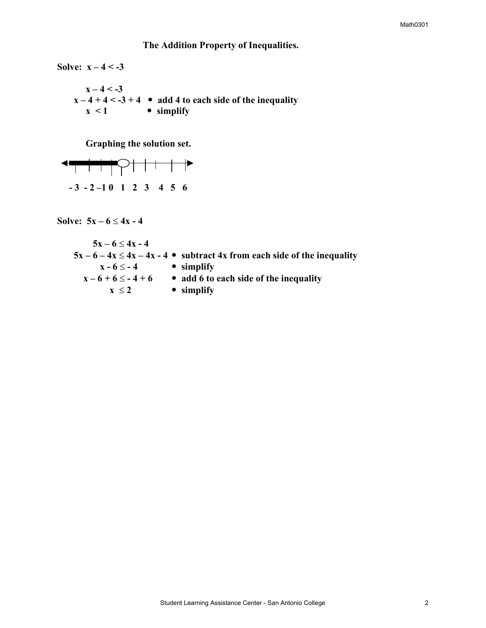#### Math0301

### **The Addition Property of Inequalities.**

**Solve: x – 4 < -3**   $x - 4 < -3$  $x - 4 + 4 < -3 + 4$  • add 4 to each side of the inequality  $x < 1$  **•** simplify

**Graphing the solution set.** 

 **- 3 - 2 –1 0 1 2 3 4 5 6** 

Solve:  $5x - 6 \le 4x - 4$ 

$$
5x-6 \le 4x-4
$$
  
\n
$$
5x-6-4x \le 4x-4x-4
$$
 **subtract 4x from each side of the inequality**  
\n
$$
x-6 \le -4
$$
  **simplify**  
\n
$$
x-6+6 \le -4+6
$$
 **add 6 to each side of the inequality**  
\n
$$
x \le 2
$$
  **simplify**